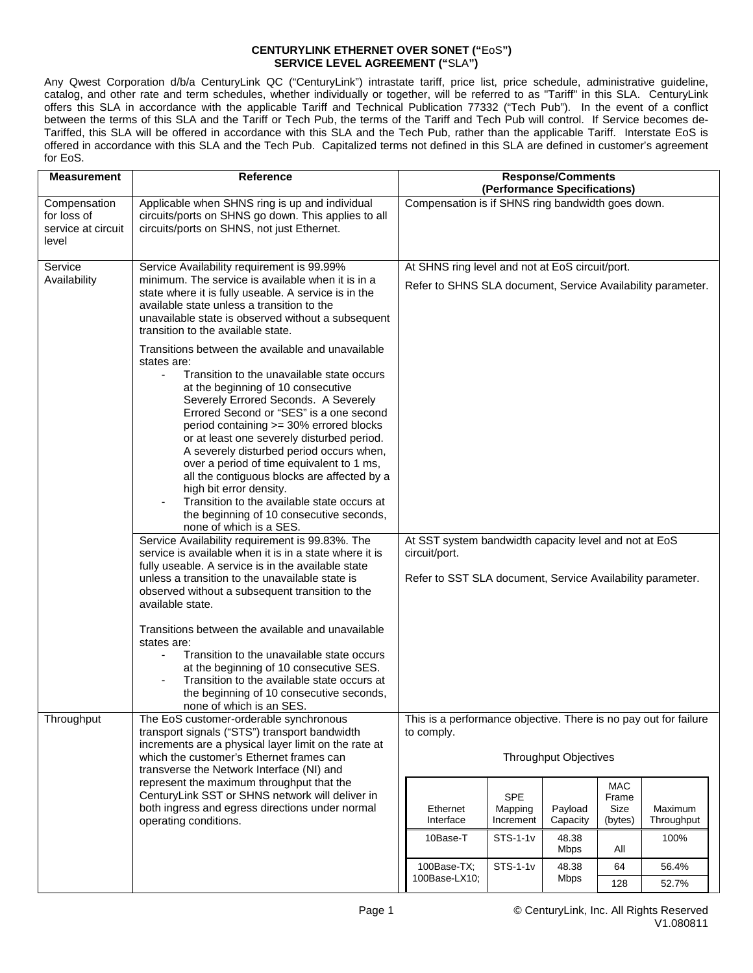## **CENTURYLINK ETHERNET OVER SONET ("**EoS**") SERVICE LEVEL AGREEMENT ("**SLA**")**

Any Qwest Corporation d/b/a CenturyLink QC ("CenturyLink") intrastate tariff, price list, price schedule, administrative guideline, catalog, and other rate and term schedules, whether individually or together, will be referred to as "Tariff" in this SLA. CenturyLink offers this SLA in accordance with the applicable Tariff and Technical Publication 77332 ("Tech Pub"). In the event of a conflict between the terms of this SLA and the Tariff or Tech Pub, the terms of the Tariff and Tech Pub will control. If Service becomes de-Tariffed, this SLA will be offered in accordance with this SLA and the Tech Pub, rather than the applicable Tariff. Interstate EoS is offered in accordance with this SLA and the Tech Pub. Capitalized terms not defined in this SLA are defined in customer's agreement for EoS.

| <b>Measurement</b>                                         | Reference                                                                                                                                                                                                                                                                                                                                                                                                                                                                                                                                                                                                                 |                                                                                                                                      |                                                       | <b>Response/Comments</b>     |                                        |                               |
|------------------------------------------------------------|---------------------------------------------------------------------------------------------------------------------------------------------------------------------------------------------------------------------------------------------------------------------------------------------------------------------------------------------------------------------------------------------------------------------------------------------------------------------------------------------------------------------------------------------------------------------------------------------------------------------------|--------------------------------------------------------------------------------------------------------------------------------------|-------------------------------------------------------|------------------------------|----------------------------------------|-------------------------------|
| Compensation<br>for loss of<br>service at circuit<br>level | Applicable when SHNS ring is up and individual<br>circuits/ports on SHNS go down. This applies to all<br>circuits/ports on SHNS, not just Ethernet.                                                                                                                                                                                                                                                                                                                                                                                                                                                                       | Compensation is if SHNS ring bandwidth goes down.                                                                                    | (Performance Specifications)                          |                              |                                        |                               |
| Service<br>Availability                                    | Service Availability requirement is 99.99%<br>minimum. The service is available when it is in a<br>state where it is fully useable. A service is in the<br>available state unless a transition to the<br>unavailable state is observed without a subsequent<br>transition to the available state.                                                                                                                                                                                                                                                                                                                         | At SHNS ring level and not at EoS circuit/port.<br>Refer to SHNS SLA document, Service Availability parameter.                       |                                                       |                              |                                        |                               |
|                                                            | Transitions between the available and unavailable<br>states are:<br>Transition to the unavailable state occurs<br>at the beginning of 10 consecutive<br>Severely Errored Seconds. A Severely<br>Errored Second or "SES" is a one second<br>period containing >= 30% errored blocks<br>or at least one severely disturbed period.<br>A severely disturbed period occurs when,<br>over a period of time equivalent to 1 ms,<br>all the contiguous blocks are affected by a<br>high bit error density.<br>Transition to the available state occurs at<br>the beginning of 10 consecutive seconds,<br>none of which is a SES. |                                                                                                                                      |                                                       |                              |                                        |                               |
|                                                            | Service Availability requirement is 99.83%. The<br>service is available when it is in a state where it is<br>fully useable. A service is in the available state<br>unless a transition to the unavailable state is<br>observed without a subsequent transition to the<br>available state.                                                                                                                                                                                                                                                                                                                                 | At SST system bandwidth capacity level and not at EoS<br>circuit/port.<br>Refer to SST SLA document, Service Availability parameter. |                                                       |                              |                                        |                               |
|                                                            | Transitions between the available and unavailable<br>states are:<br>Transition to the unavailable state occurs<br>at the beginning of 10 consecutive SES.<br>Transition to the available state occurs at<br>the beginning of 10 consecutive seconds,<br>none of which is an SES.                                                                                                                                                                                                                                                                                                                                          |                                                                                                                                      |                                                       |                              |                                        |                               |
| Throughput                                                 | The EoS customer-orderable synchronous<br>transport signals ("STS") transport bandwidth<br>increments are a physical layer limit on the rate at<br>which the customer's Ethernet frames can<br>transverse the Network Interface (NI) and<br>represent the maximum throughput that the<br>CenturyLink SST or SHNS network will deliver in<br>both ingress and egress directions under normal<br>operating conditions.                                                                                                                                                                                                      | This is a performance objective. There is no pay out for failure<br>to comply.<br><b>Throughput Objectives</b>                       |                                                       |                              |                                        |                               |
|                                                            |                                                                                                                                                                                                                                                                                                                                                                                                                                                                                                                                                                                                                           | Ethernet<br>Interface<br>10Base-T                                                                                                    | <b>SPE</b><br>Mapping<br>Increment<br><b>STS-1-1v</b> | Payload<br>Capacity<br>48.38 | <b>MAC</b><br>Frame<br>Size<br>(bytes) | Maximum<br>Throughput<br>100% |
|                                                            |                                                                                                                                                                                                                                                                                                                                                                                                                                                                                                                                                                                                                           |                                                                                                                                      |                                                       | <b>Mbps</b>                  | All                                    |                               |
|                                                            |                                                                                                                                                                                                                                                                                                                                                                                                                                                                                                                                                                                                                           | 100Base-TX;<br>100Base-LX10;                                                                                                         | $STS-1-1v$                                            | 48.38<br>Mbps                | 64<br>128                              | 56.4%<br>52.7%                |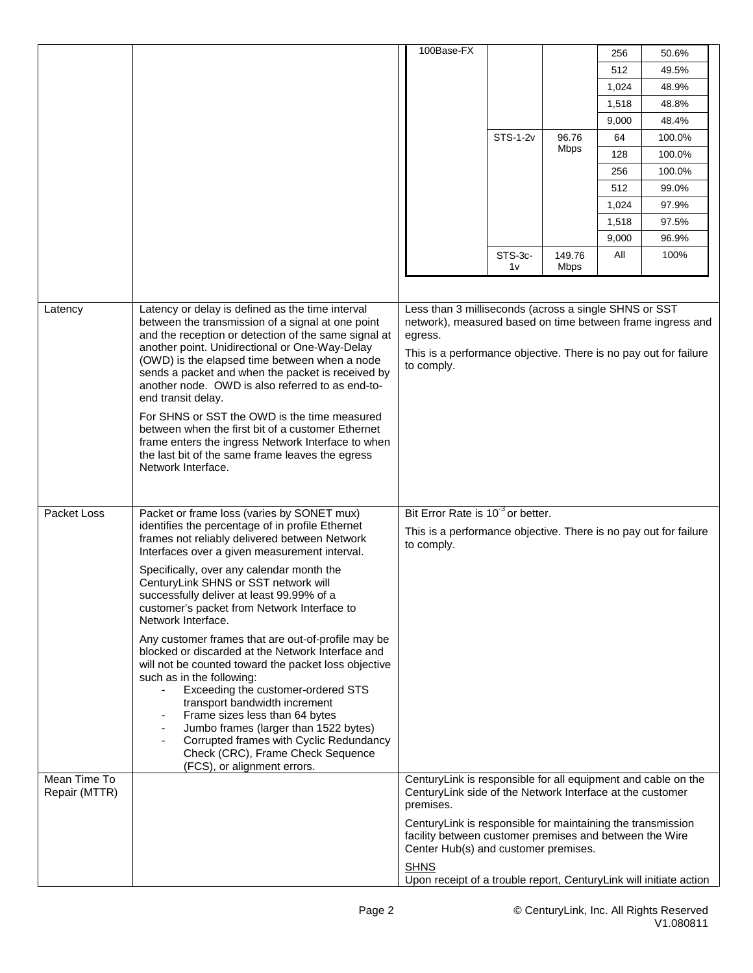|                               |                                                                                                                                                                                                                                                                                                                                                                                                                                                                                                                                                                                                                                      | 100Base-FX                                                                                                                                                                                                       |                 |                | 256   | 50.6%  |
|-------------------------------|--------------------------------------------------------------------------------------------------------------------------------------------------------------------------------------------------------------------------------------------------------------------------------------------------------------------------------------------------------------------------------------------------------------------------------------------------------------------------------------------------------------------------------------------------------------------------------------------------------------------------------------|------------------------------------------------------------------------------------------------------------------------------------------------------------------------------------------------------------------|-----------------|----------------|-------|--------|
|                               |                                                                                                                                                                                                                                                                                                                                                                                                                                                                                                                                                                                                                                      |                                                                                                                                                                                                                  |                 |                | 512   | 49.5%  |
|                               |                                                                                                                                                                                                                                                                                                                                                                                                                                                                                                                                                                                                                                      |                                                                                                                                                                                                                  |                 |                | 1,024 | 48.9%  |
|                               |                                                                                                                                                                                                                                                                                                                                                                                                                                                                                                                                                                                                                                      |                                                                                                                                                                                                                  |                 |                | 1,518 | 48.8%  |
|                               |                                                                                                                                                                                                                                                                                                                                                                                                                                                                                                                                                                                                                                      |                                                                                                                                                                                                                  |                 |                | 9,000 | 48.4%  |
|                               |                                                                                                                                                                                                                                                                                                                                                                                                                                                                                                                                                                                                                                      |                                                                                                                                                                                                                  | <b>STS-1-2v</b> | 96.76          | 64    | 100.0% |
|                               |                                                                                                                                                                                                                                                                                                                                                                                                                                                                                                                                                                                                                                      |                                                                                                                                                                                                                  |                 | <b>Mbps</b>    | 128   | 100.0% |
|                               |                                                                                                                                                                                                                                                                                                                                                                                                                                                                                                                                                                                                                                      |                                                                                                                                                                                                                  |                 |                | 256   | 100.0% |
|                               |                                                                                                                                                                                                                                                                                                                                                                                                                                                                                                                                                                                                                                      |                                                                                                                                                                                                                  |                 |                | 512   | 99.0%  |
|                               |                                                                                                                                                                                                                                                                                                                                                                                                                                                                                                                                                                                                                                      |                                                                                                                                                                                                                  |                 |                | 1,024 | 97.9%  |
|                               |                                                                                                                                                                                                                                                                                                                                                                                                                                                                                                                                                                                                                                      |                                                                                                                                                                                                                  |                 |                | 1,518 | 97.5%  |
|                               |                                                                                                                                                                                                                                                                                                                                                                                                                                                                                                                                                                                                                                      |                                                                                                                                                                                                                  |                 |                | 9,000 | 96.9%  |
|                               |                                                                                                                                                                                                                                                                                                                                                                                                                                                                                                                                                                                                                                      |                                                                                                                                                                                                                  | STS-3c-<br>1v   | 149.76<br>Mbps | All   | 100%   |
|                               |                                                                                                                                                                                                                                                                                                                                                                                                                                                                                                                                                                                                                                      |                                                                                                                                                                                                                  |                 |                |       |        |
| Latency                       | Latency or delay is defined as the time interval<br>between the transmission of a signal at one point<br>and the reception or detection of the same signal at<br>another point. Unidirectional or One-Way-Delay<br>(OWD) is the elapsed time between when a node<br>sends a packet and when the packet is received by<br>another node. OWD is also referred to as end-to-<br>end transit delay.<br>For SHNS or SST the OWD is the time measured<br>between when the first bit of a customer Ethernet<br>frame enters the ingress Network Interface to when<br>the last bit of the same frame leaves the egress<br>Network Interface. | Less than 3 milliseconds (across a single SHNS or SST<br>network), measured based on time between frame ingress and<br>egress.<br>This is a performance objective. There is no pay out for failure<br>to comply. |                 |                |       |        |
|                               |                                                                                                                                                                                                                                                                                                                                                                                                                                                                                                                                                                                                                                      |                                                                                                                                                                                                                  |                 |                |       |        |
| Packet Loss                   | Packet or frame loss (varies by SONET mux)<br>identifies the percentage of in profile Ethernet<br>frames not reliably delivered between Network<br>Interfaces over a given measurement interval.                                                                                                                                                                                                                                                                                                                                                                                                                                     | Bit Error Rate is 10 <sup>-3</sup> or better.<br>This is a performance objective. There is no pay out for failure<br>to comply.                                                                                  |                 |                |       |        |
|                               | Specifically, over any calendar month the<br>CenturyLink SHNS or SST network will<br>successfully deliver at least 99.99% of a<br>customer's packet from Network Interface to<br>Network Interface.<br>Any customer frames that are out-of-profile may be                                                                                                                                                                                                                                                                                                                                                                            |                                                                                                                                                                                                                  |                 |                |       |        |
|                               | blocked or discarded at the Network Interface and<br>will not be counted toward the packet loss objective<br>such as in the following:<br>Exceeding the customer-ordered STS<br>transport bandwidth increment<br>Frame sizes less than 64 bytes<br>Jumbo frames (larger than 1522 bytes)<br>Corrupted frames with Cyclic Redundancy<br>Check (CRC), Frame Check Sequence<br>(FCS), or alignment errors.                                                                                                                                                                                                                              |                                                                                                                                                                                                                  |                 |                |       |        |
| Mean Time To<br>Repair (MTTR) |                                                                                                                                                                                                                                                                                                                                                                                                                                                                                                                                                                                                                                      | CenturyLink is responsible for all equipment and cable on the<br>CenturyLink side of the Network Interface at the customer<br>premises.                                                                          |                 |                |       |        |
|                               |                                                                                                                                                                                                                                                                                                                                                                                                                                                                                                                                                                                                                                      | CenturyLink is responsible for maintaining the transmission<br>facility between customer premises and between the Wire<br>Center Hub(s) and customer premises.                                                   |                 |                |       |        |
|                               |                                                                                                                                                                                                                                                                                                                                                                                                                                                                                                                                                                                                                                      | <b>SHNS</b><br>Upon receipt of a trouble report, CenturyLink will initiate action                                                                                                                                |                 |                |       |        |